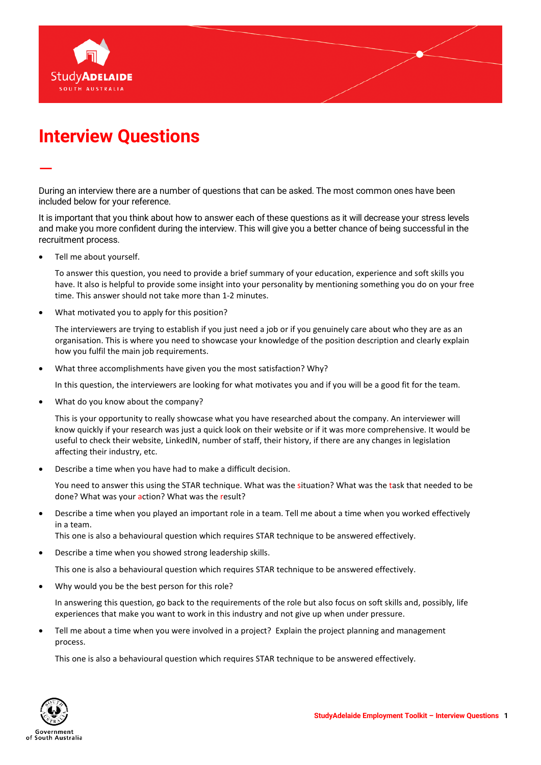

## **Interview Questions**

During an interview there are a number of questions that can be asked. The most common ones have been included below for your reference.

It is important that you think about how to answer each of these questions as it will decrease your stress levels and make you more confident during the interview. This will give you a better chance of being successful in the recruitment process.

• Tell me about yourself.

—

To answer this question, you need to provide a brief summary of your education, experience and soft skills you have. It also is helpful to provide some insight into your personality by mentioning something you do on your free time. This answer should not take more than 1-2 minutes.

• What motivated you to apply for this position?

The interviewers are trying to establish if you just need a job or if you genuinely care about who they are as an organisation. This is where you need to showcase your knowledge of the position description and clearly explain how you fulfil the main job requirements.

• What three accomplishments have given you the most satisfaction? Why?

In this question, the interviewers are looking for what motivates you and if you will be a good fit for the team.

• What do you know about the company?

This is your opportunity to really showcase what you have researched about the company. An interviewer will know quickly if your research was just a quick look on their website or if it was more comprehensive. It would be useful to check their website, LinkedIN, number of staff, their history, if there are any changes in legislation affecting their industry, etc.

• Describe a time when you have had to make a difficult decision.

You need to answer this using the STAR technique. What was the situation? What was the task that needed to be done? What was your action? What was the result?

• Describe a time when you played an important role in a team. Tell me about a time when you worked effectively in a team.

This one is also a behavioural question which requires STAR technique to be answered effectively.

• Describe a time when you showed strong leadership skills.

This one is also a behavioural question which requires STAR technique to be answered effectively.

Why would you be the best person for this role?

In answering this question, go back to the requirements of the role but also focus on soft skills and, possibly, life experiences that make you want to work in this industry and not give up when under pressure.

Tell me about a time when you were involved in a project? Explain the project planning and management process.

This one is also a behavioural question which requires STAR technique to be answered effectively.

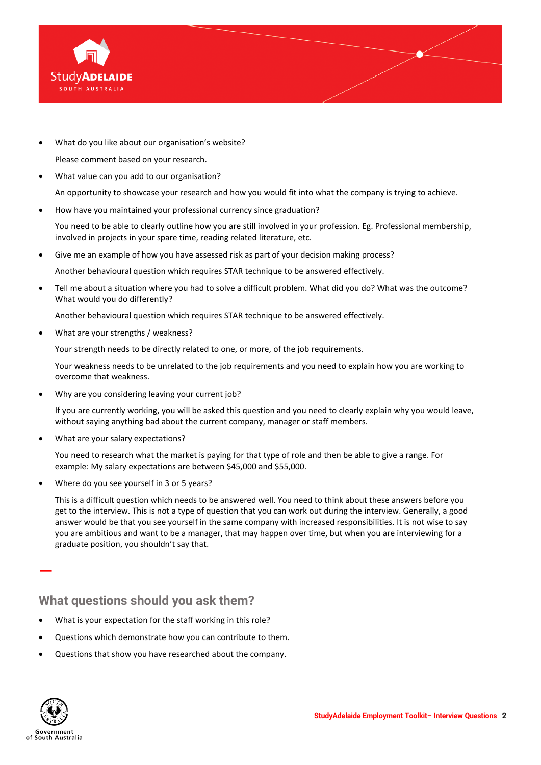

• What do you like about our organisation's website?

Please comment based on your research.

• What value can you add to our organisation?

An opportunity to showcase your research and how you would fit into what the company is trying to achieve.

• How have you maintained your professional currency since graduation?

You need to be able to clearly outline how you are still involved in your profession. Eg. Professional membership, involved in projects in your spare time, reading related literature, etc.

• Give me an example of how you have assessed risk as part of your decision making process?

Another behavioural question which requires STAR technique to be answered effectively.

• Tell me about a situation where you had to solve a difficult problem. What did you do? What was the outcome? What would you do differently?

Another behavioural question which requires STAR technique to be answered effectively.

• What are your strengths / weakness?

Your strength needs to be directly related to one, or more, of the job requirements.

Your weakness needs to be unrelated to the job requirements and you need to explain how you are working to overcome that weakness.

• Why are you considering leaving your current job?

If you are currently working, you will be asked this question and you need to clearly explain why you would leave, without saying anything bad about the current company, manager or staff members.

What are your salary expectations?

You need to research what the market is paying for that type of role and then be able to give a range. For example: My salary expectations are between \$45,000 and \$55,000.

Where do you see yourself in 3 or 5 years?

This is a difficult question which needs to be answered well. You need to think about these answers before you get to the interview. This is not a type of question that you can work out during the interview. Generally, a good answer would be that you see yourself in the same company with increased responsibilities. It is not wise to say you are ambitious and want to be a manager, that may happen over time, but when you are interviewing for a graduate position, you shouldn't say that.

## **What questions should you ask them?**

- What is your expectation for the staff working in this role?
- Questions which demonstrate how you can contribute to them.
- Questions that show you have researched about the company.



—